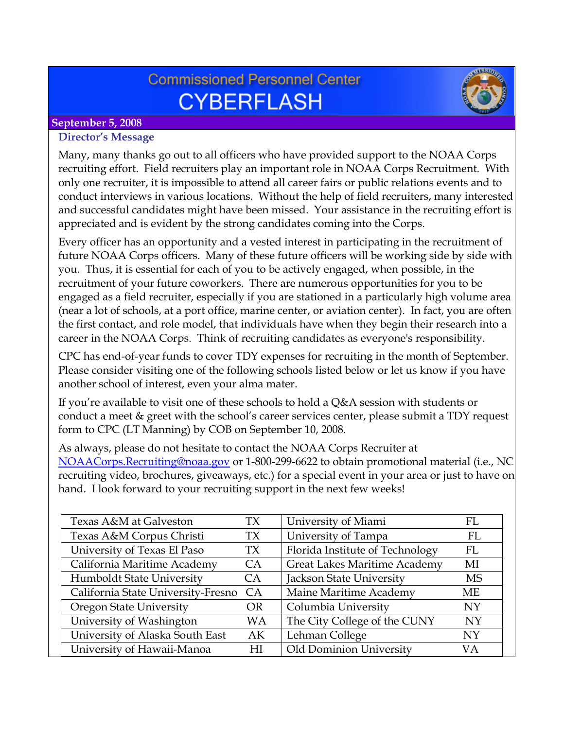# **Commissioned Personnel Center CYBERFLASH**



## **September 5, 2008**

#### **Director's Message**

Many, many thanks go out to all officers who have provided support to the NOAA Corps recruiting effort. Field recruiters play an important role in NOAA Corps Recruitment. With only one recruiter, it is impossible to attend all career fairs or public relations events and to conduct interviews in various locations. Without the help of field recruiters, many interested and successful candidates might have been missed. Your assistance in the recruiting effort is appreciated and is evident by the strong candidates coming into the Corps.

Every officer has an opportunity and a vested interest in participating in the recruitment of future NOAA Corps officers. Many of these future officers will be working side by side with you. Thus, it is essential for each of you to be actively engaged, when possible, in the recruitment of your future coworkers. There are numerous opportunities for you to be engaged as a field recruiter, especially if you are stationed in a particularly high volume area (near a lot of schools, at a port office, marine center, or aviation center). In fact, you are often the first contact, and role model, that individuals have when they begin their research into a career in the NOAA Corps. Think of recruiting candidates as everyone's responsibility.

CPC has end-of-year funds to cover TDY expenses for recruiting in the month of September. Please consider visiting one of the following schools listed below or let us know if you have another school of interest, even your alma mater.

If you're available to visit one of these schools to hold a Q&A session with students or conduct a meet & greet with the school's career services center, please submit a TDY request form to CPC (LT Manning) by COB on September 10, 2008.

As always, please do not hesitate to contact the NOAA Corps Recruiter at [NOAACorps.Recruiting@noaa.gov](mailto:NOAACorps.Recruiting@noaa.gov) or 1-800-299-6622 to obtain promotional material (i.e., NC recruiting video, brochures, giveaways, etc.) for a special event in your area or just to have on hand. I look forward to your recruiting support in the next few weeks!

| Texas A&M at Galveston             | TX        | University of Miami                 | FL.       |
|------------------------------------|-----------|-------------------------------------|-----------|
| Texas A&M Corpus Christi           | <b>TX</b> | University of Tampa                 | FL        |
| University of Texas El Paso        | TX        | Florida Institute of Technology     | FL        |
| California Maritime Academy        | CA        | <b>Great Lakes Maritime Academy</b> | MI        |
| Humboldt State University          | <b>CA</b> | Jackson State University            | <b>MS</b> |
| California State University-Fresno | CA        | Maine Maritime Academy              | МE        |
| <b>Oregon State University</b>     | <b>OR</b> | Columbia University                 | NY.       |
| University of Washington           | <b>WA</b> | The City College of the CUNY        | <b>NY</b> |
| University of Alaska South East    | AK        | Lehman College                      | <b>NY</b> |
| University of Hawaii-Manoa         | НI        | Old Dominion University             | VА        |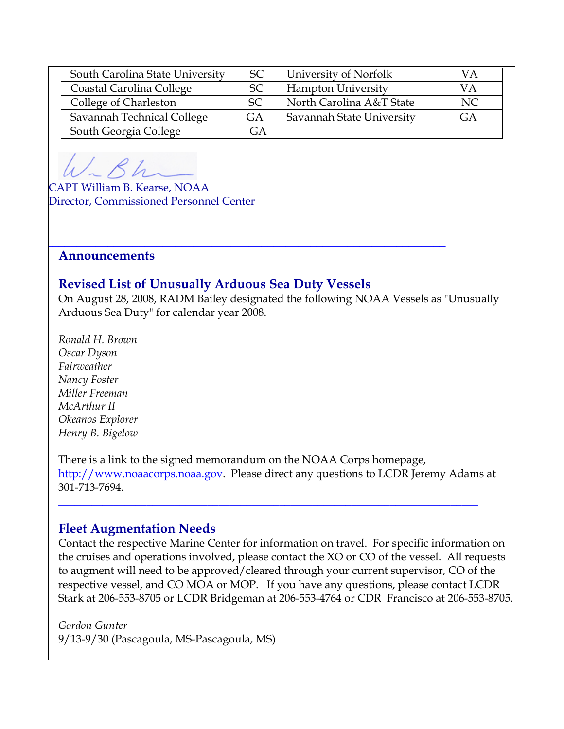| South Carolina State University | <b>SC</b>     | University of Norfolk     |    |
|---------------------------------|---------------|---------------------------|----|
| Coastal Carolina College        | SC            | <b>Hampton University</b> | VА |
| College of Charleston           | <sub>SC</sub> | North Carolina A&T State  | NC |
| Savannah Technical College      | GA            | Savannah State University | GА |
| South Georgia College           | (÷A           |                           |    |

CAPT William B. Kearse, NOAA Director, Commissioned Personnel Center

#### **Announcements**

### **Revised List of Unusually Arduous Sea Duty Vessels**

 $\frac{1}{2}$  , the contribution of the contribution of the contribution of the contribution of the contribution of the contribution of the contribution of the contribution of the contribution of the contribution of the contr

On August 28, 2008, RADM Bailey designated the following NOAA Vessels as "Unusually Arduous Sea Duty" for calendar year 2008.

*Ronald H. Brown Oscar Dyson Fairweather Nancy Foster Miller Freeman McArthur II Okeanos Explorer Henry B. Bigelow* 

There is a link to the signed memorandum on the NOAA Corps homepage, [http://www.noaacorps.noaa.gov.](http://www.noaacorps.noaa.gov/) Please direct any questions to LCDR Jeremy Adams at 301-713-7694.

**\_\_\_\_\_\_\_\_\_\_\_\_\_\_\_\_\_\_\_\_\_\_\_\_\_\_\_\_\_\_\_\_\_\_\_\_\_\_\_\_\_\_\_\_\_\_\_\_\_\_\_\_\_\_\_\_\_\_\_\_\_\_\_\_\_\_\_\_\_\_\_\_\_\_\_\_**

### **Fleet Augmentation Needs**

Contact the respective Marine Center for information on travel. For specific information on the cruises and operations involved, please contact the XO or CO of the vessel. All requests to augment will need to be approved/cleared through your current supervisor, CO of the respective vessel, and CO MOA or MOP. If you have any questions, please contact LCDR Stark at 206-553-8705 or LCDR Bridgeman at 206-553-4764 or CDR Francisco at 206-553-8705.

#### *Gordon Gunter*

9/13-9/30 (Pascagoula, MS-Pascagoula, MS)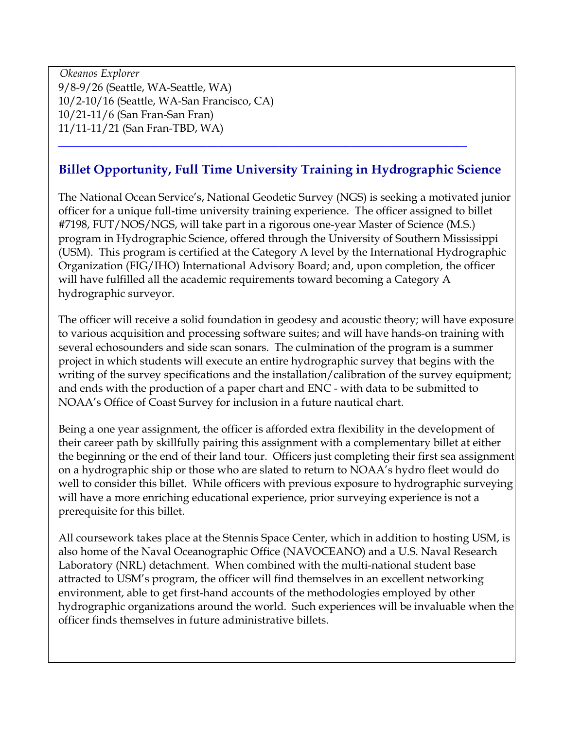*Okeanos Explorer* 9/8-9/26 (Seattle, WA-Seattle, WA) 10/2-10/16 (Seattle, WA-San Francisco, CA) 10/21-11/6 (San Fran-San Fran) 11/11-11/21 (San Fran-TBD, WA)

# **Billet Opportunity, Full Time University Training in Hydrographic Science**

**\_\_\_\_\_\_\_\_\_\_\_\_\_\_\_\_\_\_\_\_\_\_\_\_\_\_\_\_\_\_\_\_\_\_\_\_\_\_\_\_\_\_\_\_\_\_\_\_\_\_\_\_\_\_\_\_\_\_\_\_\_\_\_\_\_\_\_\_\_\_\_\_\_\_** 

The National Ocean Service's, National Geodetic Survey (NGS) is seeking a motivated junior officer for a unique full-time university training experience. The officer assigned to billet #7198, FUT/NOS/NGS, will take part in a rigorous one-year Master of Science (M.S.) program in Hydrographic Science, offered through the University of Southern Mississippi (USM). This program is certified at the Category A level by the International Hydrographic Organization (FIG/IHO) International Advisory Board; and, upon completion, the officer will have fulfilled all the academic requirements toward becoming a Category A hydrographic surveyor.

The officer will receive a solid foundation in geodesy and acoustic theory; will have exposure to various acquisition and processing software suites; and will have hands-on training with several echosounders and side scan sonars. The culmination of the program is a summer project in which students will execute an entire hydrographic survey that begins with the writing of the survey specifications and the installation/calibration of the survey equipment; and ends with the production of a paper chart and ENC - with data to be submitted to NOAA's Office of Coast Survey for inclusion in a future nautical chart.

Being a one year assignment, the officer is afforded extra flexibility in the development of their career path by skillfully pairing this assignment with a complementary billet at either the beginning or the end of their land tour. Officers just completing their first sea assignment on a hydrographic ship or those who are slated to return to NOAA's hydro fleet would do well to consider this billet. While officers with previous exposure to hydrographic surveying will have a more enriching educational experience, prior surveying experience is not a prerequisite for this billet.

All coursework takes place at the Stennis Space Center, which in addition to hosting USM, is also home of the Naval Oceanographic Office (NAVOCEANO) and a U.S. Naval Research Laboratory (NRL) detachment. When combined with the multi-national student base attracted to USM's program, the officer will find themselves in an excellent networking environment, able to get first-hand accounts of the methodologies employed by other hydrographic organizations around the world. Such experiences will be invaluable when the officer finds themselves in future administrative billets.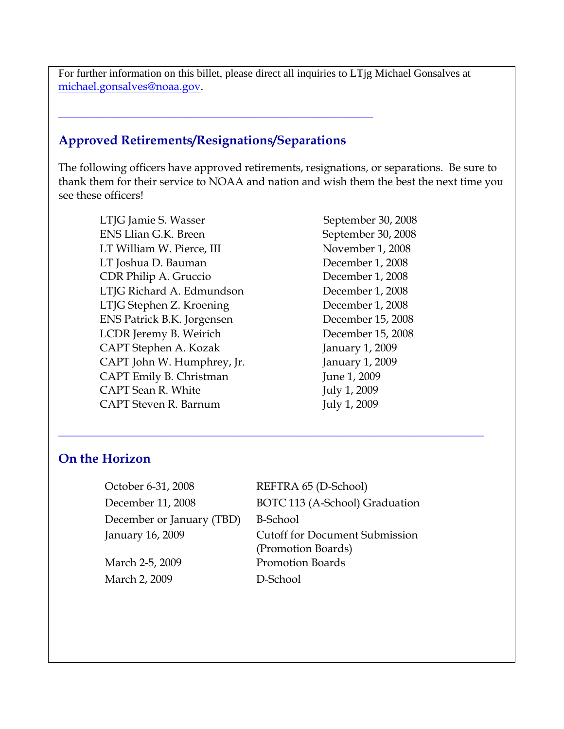For further information on this billet, please direct all inquiries to LTjg Michael Gonsalves at [michael.gonsalves@noaa.gov](mailto:michael.gonsalves@noaa.gov).

## **Approved Retirements/Resignations/Separations**

**\_\_\_\_\_\_\_\_\_\_\_\_\_\_\_\_\_\_\_\_\_\_\_\_\_\_\_\_\_\_\_\_\_\_\_\_\_\_\_\_\_\_\_\_\_\_\_\_\_\_\_\_\_\_\_\_\_**

The following officers have approved retirements, resignations, or separations. Be sure to thank them for their service to NOAA and nation and wish them the best the next time you see these officers!

LTJG Jamie S. Wasser September 30, 2008 ENS Llian G.K. Breen September 30, 2008 LT William W. Pierce, III November 1, 2008 LT Joshua D. Bauman December 1, 2008 CDR Philip A. Gruccio December 1, 2008 LTJG Richard A. Edmundson December 1, 2008 LTJG Stephen Z. Kroening December 1, 2008 ENS Patrick B.K. Jorgensen December 15, 2008 LCDR Jeremy B. Weirich December 15, 2008 CAPT Stephen A. Kozak January 1, 2009 CAPT John W. Humphrey, Jr. January 1, 2009 CAPT Emily B. Christman June 1, 2009 CAPT Sean R. White July 1, 2009 CAPT Steven R. Barnum July 1, 2009

### **On the Horizon**

| October 6-31, 2008        | REFTRA 65 (D-School)                  |
|---------------------------|---------------------------------------|
| December 11, 2008         | BOTC 113 (A-School) Graduation        |
| December or January (TBD) | <b>B-School</b>                       |
| January 16, 2009          | <b>Cutoff for Document Submission</b> |
|                           | (Promotion Boards)                    |
| March 2-5, 2009           | <b>Promotion Boards</b>               |
| March 2, 2009             | D-School                              |
|                           |                                       |

**\_\_\_\_\_\_\_\_\_\_\_\_\_\_\_\_\_\_\_\_\_\_\_\_\_\_\_\_\_\_\_\_\_\_\_\_\_\_\_\_\_\_\_\_\_\_\_\_\_\_\_\_\_\_\_\_\_\_\_\_\_\_\_\_\_\_\_\_\_\_\_\_\_\_\_\_\_**